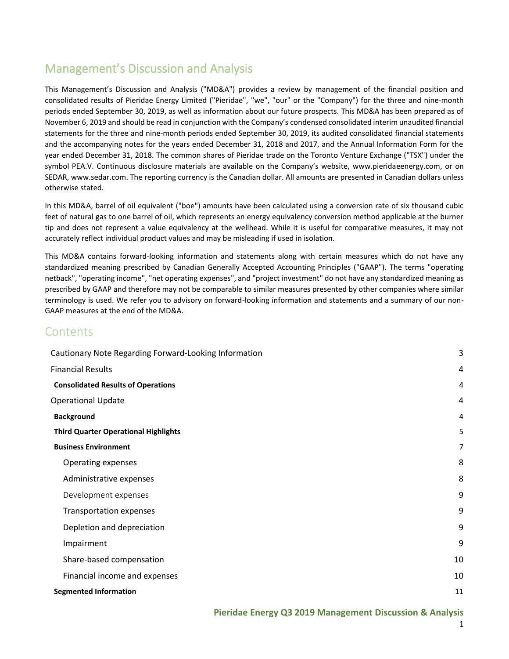## Management's Discussion and Analysis

This Management's Discussion and Analysis ("MD&A") provides a review by management of the financial position and consolidated results of Pieridae Energy Limited ("Pieridae", "we", "our" or the "Company") for the three and nine-month periods ended September 30, 2019, as well as information about our future prospects. This MD&A has been prepared as of November 6, 2019 and should be read in conjunction with the Company's condensed consolidated interim unaudited financial statements for the three and nine-month periods ended September 30, 2019, its audited consolidated financial statements and the accompanying notes for the years ended December 31, 2018 and 2017, and the Annual Information Form for the year ended December 31, 2018. The common shares of Pieridae trade on the Toronto Venture Exchange ("TSX") under the symbol PEA.V. Continuous disclosure materials are available on the Company's website, [www.pieridaeenergy.com,](http://www.pieridaeenergy.com/) or on SEDAR[, www.sedar.com.](http://www.sedar.com/) The reporting currency is the Canadian dollar. All amounts are presented in Canadian dollars unless otherwise stated.

In this MD&A, barrel of oil equivalent ("boe") amounts have been calculated using a conversion rate of six thousand cubic feet of natural gas to one barrel of oil, which represents an energy equivalency conversion method applicable at the burner tip and does not represent a value equivalency at the wellhead. While it is useful for comparative measures, it may not accurately reflect individual product values and may be misleading if used in isolation.

This MD&A contains forward-looking information and statements along with certain measures which do not have any standardized meaning prescribed by Canadian Generally Accepted Accounting Principles ("GAAP"). The terms "operating netback", "operating income", "net operating expenses", and "project investment" do not have any standardized meaning as prescribed by GAAP and therefore may not be comparable to similar measures presented by other companies where similar terminology is used. We refer you to advisory on forward-looking information and statements and a summary of our non-GAAP measures at the end of the MD&A.

## **Contents**

| Cautionary Note Regarding Forward-Looking Information | 3  |
|-------------------------------------------------------|----|
| <b>Financial Results</b>                              | 4  |
| <b>Consolidated Results of Operations</b>             | 4  |
| <b>Operational Update</b>                             | 4  |
| <b>Background</b>                                     | 4  |
| <b>Third Quarter Operational Highlights</b>           | 5  |
| <b>Business Environment</b>                           | 7  |
| Operating expenses                                    | 8  |
| Administrative expenses                               | 8  |
| Development expenses                                  | 9  |
| <b>Transportation expenses</b>                        | 9  |
| Depletion and depreciation                            | 9  |
| Impairment                                            | 9  |
| Share-based compensation                              | 10 |
| Financial income and expenses                         | 10 |
| <b>Segmented Information</b>                          | 11 |

## **Pieridae Energy Q3 2019 Management Discussion & Analysis**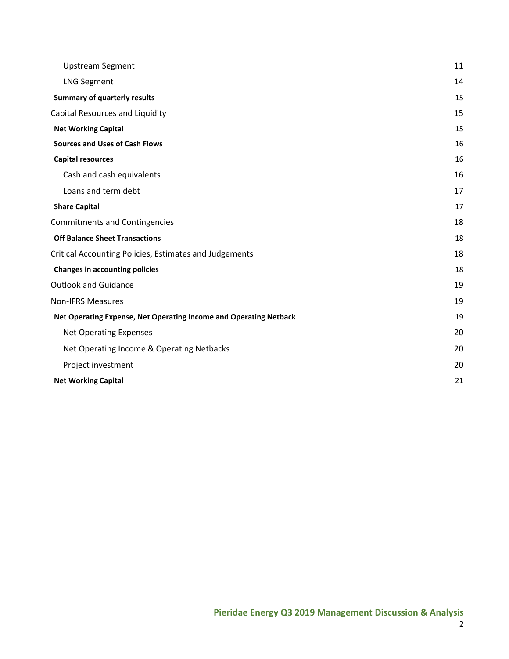| <b>Upstream Segment</b>                                           | 11 |
|-------------------------------------------------------------------|----|
| <b>LNG Segment</b>                                                | 14 |
| <b>Summary of quarterly results</b>                               | 15 |
| Capital Resources and Liquidity                                   | 15 |
| <b>Net Working Capital</b>                                        | 15 |
| <b>Sources and Uses of Cash Flows</b>                             | 16 |
| <b>Capital resources</b>                                          | 16 |
| Cash and cash equivalents                                         | 16 |
| Loans and term debt                                               | 17 |
| <b>Share Capital</b>                                              | 17 |
| <b>Commitments and Contingencies</b>                              | 18 |
| <b>Off Balance Sheet Transactions</b>                             | 18 |
| Critical Accounting Policies, Estimates and Judgements            | 18 |
| <b>Changes in accounting policies</b>                             | 18 |
| <b>Outlook and Guidance</b>                                       | 19 |
| <b>Non-IFRS Measures</b>                                          | 19 |
| Net Operating Expense, Net Operating Income and Operating Netback | 19 |
| <b>Net Operating Expenses</b>                                     | 20 |
| Net Operating Income & Operating Netbacks                         | 20 |
| Project investment                                                | 20 |
| <b>Net Working Capital</b>                                        | 21 |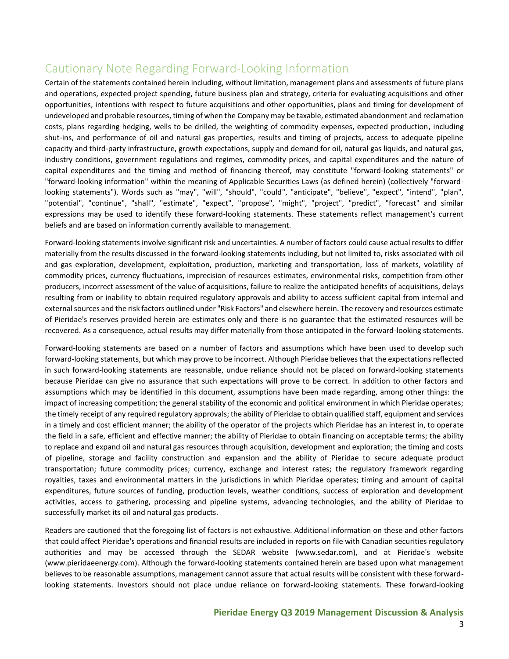## <span id="page-2-0"></span>Cautionary Note Regarding Forward-Looking Information

Certain of the statements contained herein including, without limitation, management plans and assessments of future plans and operations, expected project spending, future business plan and strategy, criteria for evaluating acquisitions and other opportunities, intentions with respect to future acquisitions and other opportunities, plans and timing for development of undeveloped and probable resources, timing of when the Company may be taxable, estimated abandonment and reclamation costs, plans regarding hedging, wells to be drilled, the weighting of commodity expenses, expected production, including shut-ins, and performance of oil and natural gas properties, results and timing of projects, access to adequate pipeline capacity and third-party infrastructure, growth expectations, supply and demand for oil, natural gas liquids, and natural gas, industry conditions, government regulations and regimes, commodity prices, and capital expenditures and the nature of capital expenditures and the timing and method of financing thereof, may constitute "forward-looking statements" or "forward-looking information" within the meaning of Applicable Securities Laws (as defined herein) (collectively "forwardlooking statements"). Words such as "may", "will", "should", "could", "anticipate", "believe", "expect", "intend", "plan", "potential", "continue", "shall", "estimate", "expect", "propose", "might", "project", "predict", "forecast" and similar expressions may be used to identify these forward-looking statements. These statements reflect management's current beliefs and are based on information currently available to management.

Forward-looking statements involve significant risk and uncertainties. A number of factors could cause actual results to differ materially from the results discussed in the forward-looking statements including, but not limited to, risks associated with oil and gas exploration, development, exploitation, production, marketing and transportation, loss of markets, volatility of commodity prices, currency fluctuations, imprecision of resources estimates, environmental risks, competition from other producers, incorrect assessment of the value of acquisitions, failure to realize the anticipated benefits of acquisitions, delays resulting from or inability to obtain required regulatory approvals and ability to access sufficient capital from internal and external sources and the risk factors outlined under "Risk Factors" and elsewhere herein. The recovery and resources estimate of Pieridae's reserves provided herein are estimates only and there is no guarantee that the estimated resources will be recovered. As a consequence, actual results may differ materially from those anticipated in the forward-looking statements.

Forward-looking statements are based on a number of factors and assumptions which have been used to develop such forward-looking statements, but which may prove to be incorrect. Although Pieridae believes that the expectations reflected in such forward-looking statements are reasonable, undue reliance should not be placed on forward-looking statements because Pieridae can give no assurance that such expectations will prove to be correct. In addition to other factors and assumptions which may be identified in this document, assumptions have been made regarding, among other things: the impact of increasing competition; the general stability of the economic and political environment in which Pieridae operates; the timely receipt of any required regulatory approvals; the ability of Pieridae to obtain qualified staff, equipment and services in a timely and cost efficient manner; the ability of the operator of the projects which Pieridae has an interest in, to operate the field in a safe, efficient and effective manner; the ability of Pieridae to obtain financing on acceptable terms; the ability to replace and expand oil and natural gas resources through acquisition, development and exploration; the timing and costs of pipeline, storage and facility construction and expansion and the ability of Pieridae to secure adequate product transportation; future commodity prices; currency, exchange and interest rates; the regulatory framework regarding royalties, taxes and environmental matters in the jurisdictions in which Pieridae operates; timing and amount of capital expenditures, future sources of funding, production levels, weather conditions, success of exploration and development activities, access to gathering, processing and pipeline systems, advancing technologies, and the ability of Pieridae to successfully market its oil and natural gas products.

Readers are cautioned that the foregoing list of factors is not exhaustive. Additional information on these and other factors that could affect Pieridae's operations and financial results are included in reports on file with Canadian securities regulatory authorities and may be accessed through the SEDAR website (www.sedar.com), and at Pieridae's website (www.pieridaeenergy.com). Although the forward-looking statements contained herein are based upon what management believes to be reasonable assumptions, management cannot assure that actual results will be consistent with these forwardlooking statements. Investors should not place undue reliance on forward-looking statements. These forward-looking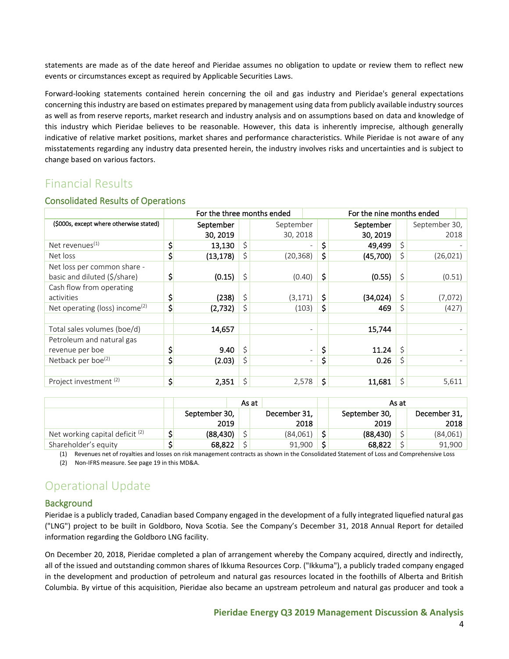statements are made as of the date hereof and Pieridae assumes no obligation to update or review them to reflect new events or circumstances except as required by Applicable Securities Laws.

Forward-looking statements contained herein concerning the oil and gas industry and Pieridae's general expectations concerning this industry are based on estimates prepared by management using data from publicly available industry sources as well as from reserve reports, market research and industry analysis and on assumptions based on data and knowledge of this industry which Pieridae believes to be reasonable. However, this data is inherently imprecise, although generally indicative of relative market positions, market shares and performance characteristics. While Pieridae is not aware of any misstatements regarding any industry data presented herein, the industry involves risks and uncertainties and is subject to change based on various factors.

## <span id="page-3-0"></span>Financial Results

|                                            | For the three months ended<br>For the nine months ended |    |           |                               |           |    |               |  |
|--------------------------------------------|---------------------------------------------------------|----|-----------|-------------------------------|-----------|----|---------------|--|
| (\$000s, except where otherwise stated)    | September                                               |    | September |                               | September |    | September 30, |  |
|                                            | 30, 2019                                                |    | 30, 2018  |                               | 30, 2019  |    | 2018          |  |
| Net revenues <sup>(1)</sup>                | 13,130                                                  |    |           | \$                            | 49,499    | \$ |               |  |
| Net loss                                   | \$<br>(13, 178)                                         |    | (20, 368) | \$                            | (45,700)  | \$ | (26, 021)     |  |
| Net loss per common share -                |                                                         |    |           |                               |           |    |               |  |
| basic and diluted (\$/share)               | (0.15)                                                  | \$ | (0.40)    | \$                            | (0.55)    | \$ | (0.51)        |  |
| Cash flow from operating                   |                                                         |    |           |                               |           |    |               |  |
| activities                                 | (238)                                                   | Ś. | (3, 171)  | \$                            | (34, 024) | \$ | (7,072)       |  |
| Net operating (loss) income <sup>(2)</sup> | \$<br>(2,732)                                           |    | (103)     | \$                            | 469       | \$ | (427)         |  |
|                                            |                                                         |    |           |                               |           |    |               |  |
| Total sales volumes (boe/d)                | 14,657                                                  |    |           |                               | 15,744    |    |               |  |
| Petroleum and natural gas                  |                                                         |    |           |                               |           |    |               |  |
| revenue per boe                            | 9.40                                                    | Ś  |           | \$<br>-                       | 11.24     | Ś  |               |  |
| Netback per boe <sup>(2)</sup>             | (2.03)                                                  |    |           | Ş<br>$\overline{\phantom{0}}$ | 0.26      | \$ |               |  |
|                                            |                                                         |    |           |                               |           |    |               |  |
| Project investment <sup>(2)</sup>          | \$<br>2,351                                             | Ś  | 2,578     | \$                            | 11,681    | \$ | 5,611         |  |

#### <span id="page-3-1"></span>Consolidated Results of Operations

|                                   |                       | As at |                      | As at |                       |  |                      |  |
|-----------------------------------|-----------------------|-------|----------------------|-------|-----------------------|--|----------------------|--|
|                                   | September 30,<br>2019 |       | December 31,<br>2018 |       | September 30,<br>2019 |  | December 31,<br>2018 |  |
| Net working capital deficit $(2)$ | (88, 430)             |       | (84,061)             | ċ     | (88, 430)             |  | (84,061)             |  |
| Shareholder's equity              | 68,822                |       | 91,900               | ÷     | 68,822                |  | 91.900               |  |

(1) Revenues net of royalties and losses on risk management contracts as shown in the Consolidated Statement of Loss and Comprehensive Loss

(2) Non-IFRS measure. See page 19 in this MD&A.

# <span id="page-3-2"></span>Operational Update

## <span id="page-3-3"></span>**Background**

Pieridae is a publicly traded, Canadian based Company engaged in the development of a fully integrated liquefied natural gas ("LNG") project to be built in Goldboro, Nova Scotia. See the Company's December 31, 2018 Annual Report for detailed information regarding the Goldboro LNG facility.

On December 20, 2018, Pieridae completed a plan of arrangement whereby the Company acquired, directly and indirectly, all of the issued and outstanding common shares of Ikkuma Resources Corp. ("Ikkuma"), a publicly traded company engaged in the development and production of petroleum and natural gas resources located in the foothills of Alberta and British Columbia. By virtue of this acquisition, Pieridae also became an upstream petroleum and natural gas producer and took a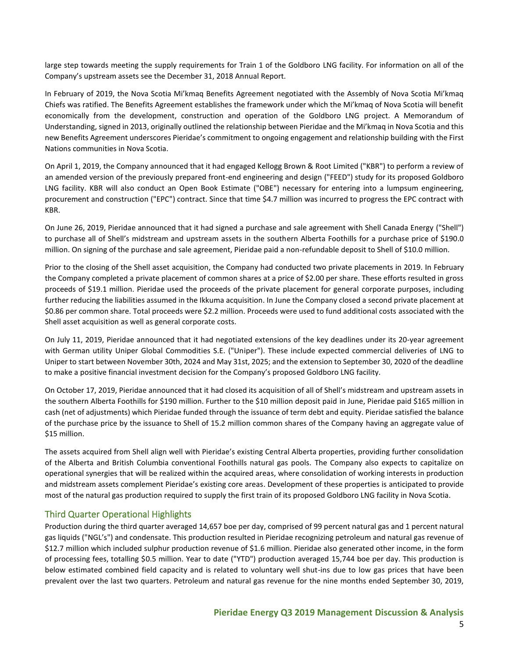large step towards meeting the supply requirements for Train 1 of the Goldboro LNG facility. For information on all of the Company's upstream assets see the December 31, 2018 Annual Report.

In February of 2019, the Nova Scotia Mi'kmaq Benefits Agreement negotiated with the Assembly of Nova Scotia Mi'kmaq Chiefs was ratified. The Benefits Agreement establishes the framework under which the Mi'kmaq of Nova Scotia will benefit economically from the development, construction and operation of the Goldboro LNG project. A Memorandum of Understanding, signed in 2013, originally outlined the relationship between Pieridae and the Mi'kmaq in Nova Scotia and this new Benefits Agreement underscores Pieridae's commitment to ongoing engagement and relationship building with the First Nations communities in Nova Scotia.

On April 1, 2019, the Company announced that it had engaged Kellogg Brown & Root Limited ("KBR") to perform a review of an amended version of the previously prepared front-end engineering and design ("FEED") study for its proposed Goldboro LNG facility. KBR will also conduct an Open Book Estimate ("OBE") necessary for entering into a lumpsum engineering, procurement and construction ("EPC") contract. Since that time \$4.7 million was incurred to progress the EPC contract with KBR.

On June 26, 2019, Pieridae announced that it had signed a purchase and sale agreement with Shell Canada Energy ("Shell") to purchase all of Shell's midstream and upstream assets in the southern Alberta Foothills for a purchase price of \$190.0 million. On signing of the purchase and sale agreement, Pieridae paid a non-refundable deposit to Shell of \$10.0 million.

Prior to the closing of the Shell asset acquisition, the Company had conducted two private placements in 2019. In February the Company completed a private placement of common shares at a price of \$2.00 per share. These efforts resulted in gross proceeds of \$19.1 million. Pieridae used the proceeds of the private placement for general corporate purposes, including further reducing the liabilities assumed in the Ikkuma acquisition. In June the Company closed a second private placement at \$0.86 per common share. Total proceeds were \$2.2 million. Proceeds were used to fund additional costs associated with the Shell asset acquisition as well as general corporate costs.

On July 11, 2019, Pieridae announced that it had negotiated extensions of the key deadlines under its 20-year agreement with German utility Uniper Global Commodities S.E. ("Uniper"). These include expected commercial deliveries of LNG to Uniper to start between November 30th, 2024 and May 31st, 2025; and the extension to September 30, 2020 of the deadline to make a positive financial investment decision for the Company's proposed Goldboro LNG facility.

On October 17, 2019, Pieridae announced that it had closed its acquisition of all of Shell's midstream and upstream assets in the southern Alberta Foothills for \$190 million. Further to the \$10 million deposit paid in June, Pieridae paid \$165 million in cash (net of adjustments) which Pieridae funded through the issuance of term debt and equity. Pieridae satisfied the balance of the purchase price by the issuance to Shell of 15.2 million common shares of the Company having an aggregate value of \$15 million.

The assets acquired from Shell align well with Pieridae's existing Central Alberta properties, providing further consolidation of the Alberta and British Columbia conventional Foothills natural gas pools. The Company also expects to capitalize on operational synergies that will be realized within the acquired areas, where consolidation of working interests in production and midstream assets complement Pieridae's existing core areas. Development of these properties is anticipated to provide most of the natural gas production required to supply the first train of its proposed Goldboro LNG facility in Nova Scotia.

## <span id="page-4-0"></span>Third Quarter Operational Highlights

Production during the third quarter averaged 14,657 boe per day, comprised of 99 percent natural gas and 1 percent natural gas liquids ("NGL's") and condensate. This production resulted in Pieridae recognizing petroleum and natural gas revenue of \$12.7 million which included sulphur production revenue of \$1.6 million. Pieridae also generated other income, in the form of processing fees, totalling \$0.5 million. Year to date ("YTD") production averaged 15,744 boe per day. This production is below estimated combined field capacity and is related to voluntary well shut-ins due to low gas prices that have been prevalent over the last two quarters. Petroleum and natural gas revenue for the nine months ended September 30, 2019,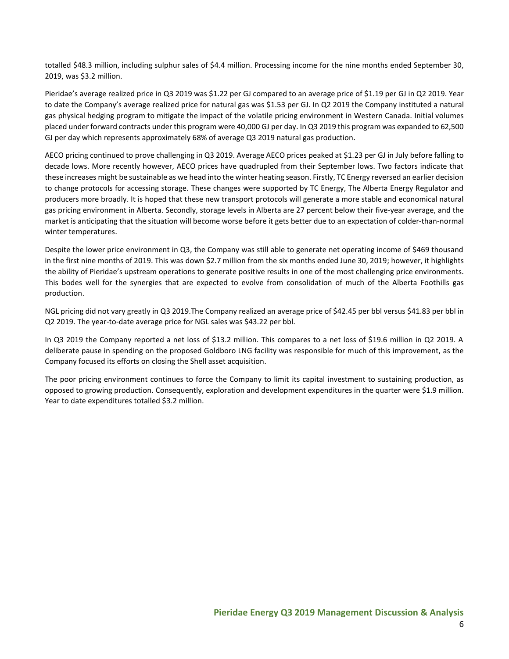totalled \$48.3 million, including sulphur sales of \$4.4 million. Processing income for the nine months ended September 30, 2019, was \$3.2 million.

Pieridae's average realized price in Q3 2019 was \$1.22 per GJ compared to an average price of \$1.19 per GJ in Q2 2019. Year to date the Company's average realized price for natural gas was \$1.53 per GJ. In Q2 2019 the Company instituted a natural gas physical hedging program to mitigate the impact of the volatile pricing environment in Western Canada. Initial volumes placed under forward contracts under this program were 40,000 GJ per day. In Q3 2019 this program was expanded to 62,500 GJ per day which represents approximately 68% of average Q3 2019 natural gas production.

AECO pricing continued to prove challenging in Q3 2019. Average AECO prices peaked at \$1.23 per GJ in July before falling to decade lows. More recently however, AECO prices have quadrupled from their September lows. Two factors indicate that these increases might be sustainable as we head into the winter heating season. Firstly, TC Energy reversed an earlier decision to change protocols for accessing storage. These changes were supported by TC Energy, The Alberta Energy Regulator and producers more broadly. It is hoped that these new transport protocols will generate a more stable and economical natural gas pricing environment in Alberta. Secondly, storage levels in Alberta are 27 percent below their five-year average, and the market is anticipating that the situation will become worse before it gets better due to an expectation of colder-than-normal winter temperatures.

Despite the lower price environment in Q3, the Company was still able to generate net operating income of \$469 thousand in the first nine months of 2019. This was down \$2.7 million from the six months ended June 30, 2019; however, it highlights the ability of Pieridae's upstream operations to generate positive results in one of the most challenging price environments. This bodes well for the synergies that are expected to evolve from consolidation of much of the Alberta Foothills gas production.

NGL pricing did not vary greatly in Q3 2019.The Company realized an average price of \$42.45 per bbl versus \$41.83 per bbl in Q2 2019. The year-to-date average price for NGL sales was \$43.22 per bbl.

In Q3 2019 the Company reported a net loss of \$13.2 million. This compares to a net loss of \$19.6 million in Q2 2019. A deliberate pause in spending on the proposed Goldboro LNG facility was responsible for much of this improvement, as the Company focused its efforts on closing the Shell asset acquisition.

The poor pricing environment continues to force the Company to limit its capital investment to sustaining production, as opposed to growing production. Consequently, exploration and development expenditures in the quarter were \$1.9 million. Year to date expenditures totalled \$3.2 million.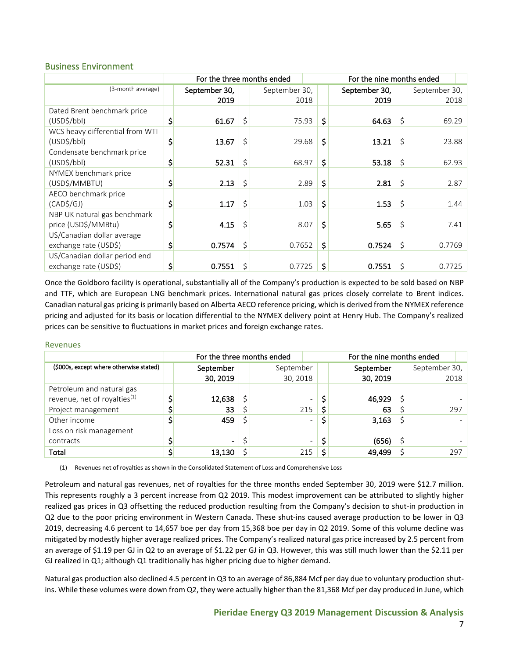#### <span id="page-6-0"></span>Business Environment

|                                 | For the three months ended<br>For the nine months ended |               |    |               |  |    |               |    |               |  |  |
|---------------------------------|---------------------------------------------------------|---------------|----|---------------|--|----|---------------|----|---------------|--|--|
| (3-month average)               |                                                         | September 30, |    | September 30, |  |    | September 30, |    | September 30, |  |  |
|                                 |                                                         | 2019          |    | 2018          |  |    | 2019          |    | 2018          |  |  |
| Dated Brent benchmark price     |                                                         |               |    |               |  |    |               |    |               |  |  |
| (USD <sub>5</sub> /bb)          | \$                                                      | 61.67         | \$ | 75.93         |  | \$ | 64.63         | \$ | 69.29         |  |  |
| WCS heavy differential from WTI |                                                         |               |    |               |  |    |               |    |               |  |  |
| (USD\$/bbl)                     | \$                                                      | 13.67         | \$ | 29.68         |  | \$ | 13.21         | \$ | 23.88         |  |  |
| Condensate benchmark price      |                                                         |               |    |               |  |    |               |    |               |  |  |
| (USD\$/bbl)                     |                                                         | 52.31         | \$ | 68.97         |  | \$ | 53.18         | \$ | 62.93         |  |  |
| NYMEX benchmark price           |                                                         |               |    |               |  |    |               |    |               |  |  |
| (USD\$/MMBTU)                   |                                                         | 2.13          | \$ | 2.89          |  | \$ | 2.81          | \$ | 2.87          |  |  |
| AECO benchmark price            |                                                         |               |    |               |  |    |               |    |               |  |  |
| $(CAD\$ S/GJ)                   |                                                         | 1.17          | \$ | 1.03          |  | \$ | 1.53          | \$ | 1.44          |  |  |
| NBP UK natural gas benchmark    |                                                         |               |    |               |  |    |               |    |               |  |  |
| price (USD\$/MMBtu)             | \$                                                      | 4.15          | \$ | 8.07          |  | \$ | 5.65          | \$ | 7.41          |  |  |
| US/Canadian dollar average      |                                                         |               |    |               |  |    |               |    |               |  |  |
| exchange rate (USD\$)           | Ş                                                       | 0.7574        | \$ | 0.7652        |  | \$ | 0.7524        | \$ | 0.7769        |  |  |
| US/Canadian dollar period end   |                                                         |               |    |               |  |    |               |    |               |  |  |
| exchange rate (USD\$)           | Ş                                                       | 0.7551        | \$ | 0.7725        |  | \$ | 0.7551        | \$ | 0.7725        |  |  |

Once the Goldboro facility is operational, substantially all of the Company's production is expected to be sold based on NBP and TTF, which are European LNG benchmark prices. International natural gas prices closely correlate to Brent indices. Canadian natural gas pricing is primarily based on Alberta AECO reference pricing, which is derived from the NYMEX reference pricing and adjusted for its basis or location differential to the NYMEX delivery point at Henry Hub. The Company's realized prices can be sensitive to fluctuations in market prices and foreign exchange rates.

#### Revenues

|                                          | For the three months ended |                          |     |           | For the nine months ended |               |  |  |
|------------------------------------------|----------------------------|--------------------------|-----|-----------|---------------------------|---------------|--|--|
| (\$000s, except where otherwise stated)  | September                  | September                |     | September |                           | September 30, |  |  |
|                                          | 30, 2019                   | 30, 2018                 |     | 30, 2019  |                           | 2018          |  |  |
| Petroleum and natural gas                |                            |                          |     |           |                           |               |  |  |
| revenue, net of royalties <sup>(1)</sup> | 12,638                     | $\overline{\phantom{0}}$ |     | 46,929    |                           |               |  |  |
| Project management                       | 33                         | 215                      | \$. | 63        |                           | 297           |  |  |
| Other income                             | 459                        | $\overline{\phantom{0}}$ |     | 3,163     |                           |               |  |  |
| Loss on risk management                  |                            |                          |     |           |                           |               |  |  |
| contracts                                | $\blacksquare$             | $\overline{\phantom{a}}$ | \$  | (656)     |                           |               |  |  |
| Total                                    | 13,130                     | 215                      | Ś   | 49,499    |                           | 297           |  |  |

(1) Revenues net of royalties as shown in the Consolidated Statement of Loss and Comprehensive Loss

Petroleum and natural gas revenues, net of royalties for the three months ended September 30, 2019 were \$12.7 million. This represents roughly a 3 percent increase from Q2 2019. This modest improvement can be attributed to slightly higher realized gas prices in Q3 offsetting the reduced production resulting from the Company's decision to shut-in production in Q2 due to the poor pricing environment in Western Canada. These shut-ins caused average production to be lower in Q3 2019, decreasing 4.6 percent to 14,657 boe per day from 15,368 boe per day in Q2 2019. Some of this volume decline was mitigated by modestly higher average realized prices. The Company's realized natural gas price increased by 2.5 percent from an average of \$1.19 per GJ in Q2 to an average of \$1.22 per GJ in Q3. However, this was still much lower than the \$2.11 per GJ realized in Q1; although Q1 traditionally has higher pricing due to higher demand.

Natural gas production also declined 4.5 percent in Q3 to an average of 86,884 Mcf per day due to voluntary production shutins. While these volumes were down from Q2, they were actually higher than the 81,368 Mcf per day produced in June, which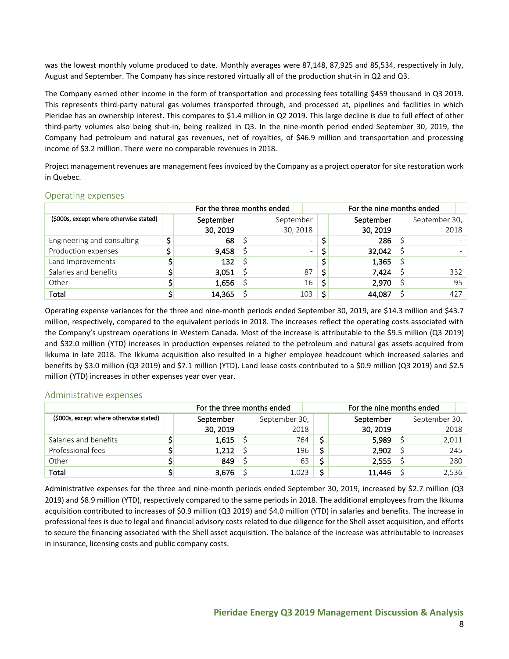was the lowest monthly volume produced to date. Monthly averages were 87,148, 87,925 and 85,534, respectively in July, August and September. The Company has since restored virtually all of the production shut-in in Q2 and Q3.

The Company earned other income in the form of transportation and processing fees totalling \$459 thousand in Q3 2019. This represents third-party natural gas volumes transported through, and processed at, pipelines and facilities in which Pieridae has an ownership interest. This compares to \$1.4 million in Q2 2019. This large decline is due to full effect of other third-party volumes also being shut-in, being realized in Q3. In the nine-month period ended September 30, 2019, the Company had petroleum and natural gas revenues, net of royalties, of \$46.9 million and transportation and processing income of \$3.2 million. There were no comparable revenues in 2018.

Project management revenues are management fees invoiced by the Company as a project operator for site restoration work in Quebec.

|                                         | For the three months ended |    |           | For the nine months ended |           |  |               |  |  |
|-----------------------------------------|----------------------------|----|-----------|---------------------------|-----------|--|---------------|--|--|
| (\$000s, except where otherwise stated) | September                  |    | September |                           | September |  | September 30, |  |  |
|                                         | 30, 2019                   |    | 30, 2018  |                           | 30, 2019  |  | 2018          |  |  |
| Engineering and consulting              | 68                         |    |           | $\overline{\phantom{0}}$  | 286       |  |               |  |  |
| Production expenses                     | 9,458                      |    |           | $\blacksquare$            | 32,042    |  |               |  |  |
| Land Improvements                       | 132                        | S. |           | $\equiv$                  | 1,365     |  |               |  |  |
| Salaries and benefits                   | 3,051                      | Ś  | 87        | S                         | 7,424     |  | 332           |  |  |
| Other                                   | 1,656                      |    | 16        | -S                        | 2,970     |  | 95            |  |  |
| Total                                   | 14,365                     |    | 103       | Ś                         | 44,087    |  | 427           |  |  |

#### <span id="page-7-0"></span>Operating expenses

Operating expense variances for the three and nine-month periods ended September 30, 2019, are \$14.3 million and \$43.7 million, respectively, compared to the equivalent periods in 2018. The increases reflect the operating costs associated with the Company's upstream operations in Western Canada. Most of the increase is attributable to the \$9.5 million (Q3 2019) and \$32.0 million (YTD) increases in production expenses related to the petroleum and natural gas assets acquired from Ikkuma in late 2018. The Ikkuma acquisition also resulted in a higher employee headcount which increased salaries and benefits by \$3.0 million (Q3 2019) and \$7.1 million (YTD). Land lease costs contributed to a \$0.9 million (Q3 2019) and \$2.5 million (YTD) increases in other expenses year over year.

#### <span id="page-7-1"></span>Administrative expenses

|                                         | For the three months ended |           |  |               |  | For the nine months ended |  |               |     |  |  |
|-----------------------------------------|----------------------------|-----------|--|---------------|--|---------------------------|--|---------------|-----|--|--|
| (\$000s, except where otherwise stated) |                            | September |  | September 30, |  | September                 |  | September 30, |     |  |  |
|                                         |                            | 30, 2019  |  | 2018          |  | 30, 2019                  |  | 2018          |     |  |  |
| Salaries and benefits                   |                            | 1,615     |  | 764           |  | 5,989                     |  | 2,011         |     |  |  |
| Professional fees                       |                            | 1,212     |  | 196           |  | 2,902                     |  |               | 245 |  |  |
| Other                                   |                            | 849       |  | 63            |  | 2,555                     |  |               | 280 |  |  |
| Total                                   |                            | 3,676     |  | 1.023         |  | 11,446                    |  | 2,536         |     |  |  |

Administrative expenses for the three and nine-month periods ended September 30, 2019, increased by \$2.7 million (Q3 2019) and \$8.9 million (YTD), respectively compared to the same periods in 2018. The additional employees from the Ikkuma acquisition contributed to increases of \$0.9 million (Q3 2019) and \$4.0 million (YTD) in salaries and benefits. The increase in professional fees is due to legal and financial advisory costs related to due diligence for the Shell asset acquisition, and efforts to secure the financing associated with the Shell asset acquisition. The balance of the increase was attributable to increases in insurance, licensing costs and public company costs.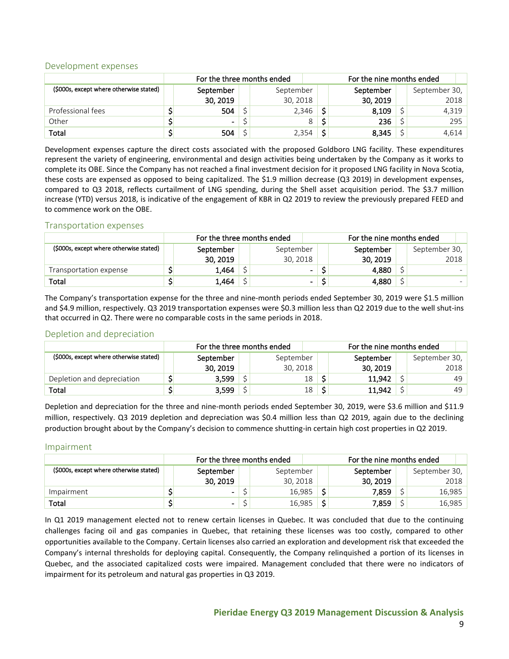#### <span id="page-8-0"></span>Development expenses

|                                         | For the three months ended |                |  |           |   | For the nine months ended |           |  |               |  |
|-----------------------------------------|----------------------------|----------------|--|-----------|---|---------------------------|-----------|--|---------------|--|
| (\$000s, except where otherwise stated) |                            | September      |  | September |   |                           | September |  | September 30, |  |
|                                         |                            | 30, 2019       |  | 30, 2018  |   |                           | 30, 2019  |  | 2018          |  |
| Professional fees                       |                            | 504            |  | 2,346     |   |                           | 8,109     |  | 4,319         |  |
| Other                                   |                            | $\blacksquare$ |  |           | 8 |                           | 236       |  | 295           |  |
| Total                                   |                            | 504            |  | 2,354     |   | ÷                         | 8,345     |  | 4,614         |  |

Development expenses capture the direct costs associated with the proposed Goldboro LNG facility. These expenditures represent the variety of engineering, environmental and design activities being undertaken by the Company as it works to complete its OBE. Since the Company has not reached a final investment decision for it proposed LNG facility in Nova Scotia, these costs are expensed as opposed to being capitalized. The \$1.9 million decrease (Q3 2019) in development expenses, compared to Q3 2018, reflects curtailment of LNG spending, during the Shell asset acquisition period. The \$3.7 million increase (YTD) versus 2018, is indicative of the engagement of KBR in Q2 2019 to review the previously prepared FEED and to commence work on the OBE.

#### <span id="page-8-1"></span>Transportation expenses

|                                         | For the three months ended |           |  |                |  | For the nine months ended |  |               |  |  |  |
|-----------------------------------------|----------------------------|-----------|--|----------------|--|---------------------------|--|---------------|--|--|--|
| (\$000s, except where otherwise stated) |                            | September |  | September      |  | September                 |  | September 30, |  |  |  |
|                                         |                            | 30, 2019  |  | 30, 2018       |  | 30, 2019                  |  | 2018          |  |  |  |
| Transportation expense                  |                            | 1,464     |  | $\sim$         |  | 4,880                     |  |               |  |  |  |
| Total                                   |                            | 1,464     |  | $\blacksquare$ |  | 4.880                     |  |               |  |  |  |

The Company's transportation expense for the three and nine-month periods ended September 30, 2019 were \$1.5 million and \$4.9 million, respectively. Q3 2019 transportation expenses were \$0.3 million less than Q2 2019 due to the well shut-ins that occurred in Q2. There were no comparable costs in the same periods in 2018.

#### <span id="page-8-2"></span>Depletion and depreciation

|                                         | For the three months ended |           |  |           |  | For the nine months ended |   |               |  |  |  |
|-----------------------------------------|----------------------------|-----------|--|-----------|--|---------------------------|---|---------------|--|--|--|
| (\$000s, except where otherwise stated) |                            | September |  | September |  | September                 |   | September 30, |  |  |  |
|                                         |                            | 30, 2019  |  | 30, 2018  |  | 30, 2019                  |   | 2018          |  |  |  |
| Depletion and depreciation              |                            | 3,599     |  | 18        |  | 11,942                    |   | 49            |  |  |  |
| Total                                   |                            | 3.599     |  | 18        |  | 11.942                    | ć | 49            |  |  |  |

Depletion and depreciation for the three and nine-month periods ended September 30, 2019, were \$3.6 million and \$11.9 million, respectively. Q3 2019 depletion and depreciation was \$0.4 million less than Q2 2019, again due to the declining production brought about by the Company's decision to commence shutting-in certain high cost properties in Q2 2019.

#### <span id="page-8-3"></span>Impairment

|                                         | For the three months ended |                |  |           | For the nine months ended |           |  |               |  |
|-----------------------------------------|----------------------------|----------------|--|-----------|---------------------------|-----------|--|---------------|--|
| (\$000s, except where otherwise stated) |                            | September      |  | September |                           | September |  | September 30, |  |
|                                         |                            | 30, 2019       |  | 30, 2018  |                           | 30, 2019  |  | 2018          |  |
| Impairment                              |                            | $\blacksquare$ |  | 16,985    |                           | 7,859     |  | 16,985        |  |
| Total                                   |                            | $\blacksquare$ |  | 16,985    |                           | 7,859     |  | 16,985        |  |

In Q1 2019 management elected not to renew certain licenses in Quebec. It was concluded that due to the continuing challenges facing oil and gas companies in Quebec, that retaining these licenses was too costly, compared to other opportunities available to the Company. Certain licenses also carried an exploration and development risk that exceeded the Company's internal thresholds for deploying capital. Consequently, the Company relinquished a portion of its licenses in Quebec, and the associated capitalized costs were impaired. Management concluded that there were no indicators of impairment for its petroleum and natural gas properties in Q3 2019.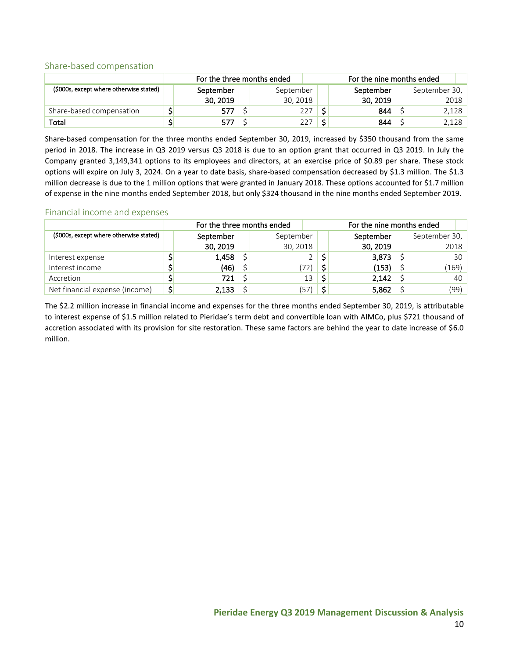#### <span id="page-9-0"></span>Share-based compensation

|                                         | For the three months ended |           | For the nine months ended |          |  |               |  |  |
|-----------------------------------------|----------------------------|-----------|---------------------------|----------|--|---------------|--|--|
| (\$000s, except where otherwise stated) | September                  | September | September                 |          |  | September 30, |  |  |
|                                         | 30, 2019                   | 30, 2018  |                           | 30, 2019 |  | 2018          |  |  |
| Share-based compensation                | 577                        | 227       |                           | 844      |  | 2,128         |  |  |
| Total                                   | 577                        |           |                           | 844      |  | 2,128         |  |  |

Share-based compensation for the three months ended September 30, 2019, increased by \$350 thousand from the same period in 2018. The increase in Q3 2019 versus Q3 2018 is due to an option grant that occurred in Q3 2019. In July the Company granted 3,149,341 options to its employees and directors, at an exercise price of \$0.89 per share. These stock options will expire on July 3, 2024. On a year to date basis, share-based compensation decreased by \$1.3 million. The \$1.3 million decrease is due to the 1 million options that were granted in January 2018. These options accounted for \$1.7 million of expense in the nine months ended September 2018, but only \$324 thousand in the nine months ended September 2019.

#### <span id="page-9-1"></span>Financial income and expenses

|                                         |                | For the three months ended |           | For the nine months ended |          |  |               |  |  |
|-----------------------------------------|----------------|----------------------------|-----------|---------------------------|----------|--|---------------|--|--|
| (\$000s, except where otherwise stated) |                | September                  | September | September                 |          |  | September 30, |  |  |
|                                         |                | 30, 2019                   | 30, 2018  |                           | 30, 2019 |  | 2018          |  |  |
| Interest expense                        |                | 1,458                      |           |                           | 3,873    |  | 30            |  |  |
| Interest income                         |                | (46)                       | 72)       | (153)                     |          |  | (169)         |  |  |
| Accretion                               |                | 721                        | 13        |                           | 2,142    |  | 40            |  |  |
| Net financial expense (income)          | $\mathsf{S}_1$ | 2,133                      | 57)       |                           | 5,862    |  | (99)          |  |  |

The \$2.2 million increase in financial income and expenses for the three months ended September 30, 2019, is attributable to interest expense of \$1.5 million related to Pieridae's term debt and convertible loan with AIMCo, plus \$721 thousand of accretion associated with its provision for site restoration. These same factors are behind the year to date increase of \$6.0 million.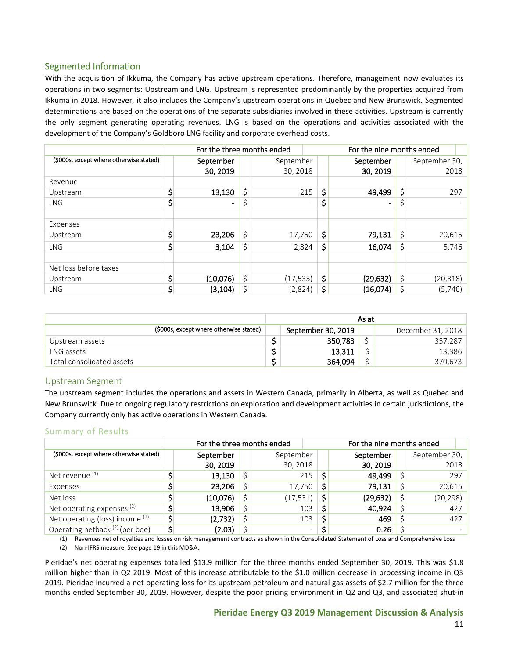## <span id="page-10-0"></span>Segmented Information

With the acquisition of Ikkuma, the Company has active upstream operations. Therefore, management now evaluates its operations in two segments: Upstream and LNG. Upstream is represented predominantly by the properties acquired from Ikkuma in 2018. However, it also includes the Company's upstream operations in Quebec and New Brunswick. Segmented determinations are based on the operations of the separate subsidiaries involved in these activities. Upstream is currently the only segment generating operating revenues. LNG is based on the operations and activities associated with the development of the Company's Goldboro LNG facility and corporate overhead costs.

|                                         | For the three months ended |    |           | For the nine months ended |    |                          |    |               |  |  |  |  |
|-----------------------------------------|----------------------------|----|-----------|---------------------------|----|--------------------------|----|---------------|--|--|--|--|
| (\$000s, except where otherwise stated) | September                  |    | September |                           |    | September                |    | September 30, |  |  |  |  |
|                                         | 30, 2019                   |    | 30, 2018  |                           |    | 30, 2019                 |    | 2018          |  |  |  |  |
| Revenue                                 |                            |    |           |                           |    |                          |    |               |  |  |  |  |
| Upstream                                | \$<br>13,130               | \$ |           | 215                       | \$ | 49,499                   | \$ | 297           |  |  |  |  |
| <b>LNG</b>                              | \$<br>$\blacksquare$       |    |           | $\overline{\phantom{a}}$  | \$ | $\overline{\phantom{0}}$ | \$ |               |  |  |  |  |
|                                         |                            |    |           |                           |    |                          |    |               |  |  |  |  |
| Expenses                                |                            |    |           |                           |    |                          |    |               |  |  |  |  |
| Upstream                                | \$<br>23,206               | \$ | 17,750    |                           | \$ | 79,131                   | \$ | 20,615        |  |  |  |  |
| <b>LNG</b>                              | \$<br>3,104                | Ś  | 2,824     |                           | \$ | 16,074                   | \$ | 5,746         |  |  |  |  |
|                                         |                            |    |           |                           |    |                          |    |               |  |  |  |  |
| Net loss before taxes                   |                            |    |           |                           |    |                          |    |               |  |  |  |  |
| Upstream                                | \$<br>(10,076)             | Ś  | (17, 535) | \$                        |    | (29, 632)                |    | (20, 318)     |  |  |  |  |
| <b>LNG</b>                              | \$<br>(3, 104)             | \$ | (2,824)   |                           | \$ | (16,074)                 | \$ | (5,746)       |  |  |  |  |

|                                         | As at                                   |         |  |         |  |  |  |  |  |  |  |
|-----------------------------------------|-----------------------------------------|---------|--|---------|--|--|--|--|--|--|--|
| (\$000s, except where otherwise stated) | September 30, 2019<br>December 31, 2018 |         |  |         |  |  |  |  |  |  |  |
| Upstream assets                         |                                         | 350,783 |  | 357,287 |  |  |  |  |  |  |  |
| LNG assets                              |                                         | 13,311  |  | 13,386  |  |  |  |  |  |  |  |
| Total consolidated assets               |                                         | 364.094 |  | 370,673 |  |  |  |  |  |  |  |

#### <span id="page-10-1"></span>Upstream Segment

The upstream segment includes the operations and assets in Western Canada, primarily in Alberta, as well as Quebec and New Brunswick. Due to ongoing regulatory restrictions on exploration and development activities in certain jurisdictions, the Company currently only has active operations in Western Canada.

#### Summary of Results

|                                            | For the three months ended |           | For the nine months ended |    |           |  |               |     |      |  |
|--------------------------------------------|----------------------------|-----------|---------------------------|----|-----------|--|---------------|-----|------|--|
| (\$000s, except where otherwise stated)    | September                  | September |                           |    | September |  | September 30, |     |      |  |
|                                            | 30, 2019                   | 30, 2018  |                           |    |           |  | 30, 2019      |     | 2018 |  |
| Net revenue (1)                            | 13,130                     | 215       | S                         |    | 49,499    |  |               | 297 |      |  |
| Expenses                                   | 23,206                     | 17,750    | \$                        |    | 79,131    |  | 20,615        |     |      |  |
| Net loss                                   | (10,076)                   | (17,531)  |                           | \$ | (29,632)  |  | (20, 298)     |     |      |  |
| Net operating expenses $(2)$               | 13,906                     | 103       | \$                        |    | 40,924    |  |               | 427 |      |  |
| Net operating (loss) income (2)            | \$<br>(2,732)              | 103       |                           | \$ | 469       |  |               | 427 |      |  |
| Operating netback <sup>(2)</sup> (per boe) | \$<br>(2.03)               |           | $\overline{\phantom{a}}$  |    | 0.26      |  |               |     |      |  |

(1) Revenues net of royalties and losses on risk management contracts as shown in the Consolidated Statement of Loss and Comprehensive Loss (2) Non-IFRS measure. See page 19 in this MD&A.

Pieridae's net operating expenses totalled \$13.9 million for the three months ended September 30, 2019. This was \$1.8 million higher than in Q2 2019. Most of this increase attributable to the \$1.0 million decrease in processing income in Q3 2019. Pieridae incurred a net operating loss for its upstream petroleum and natural gas assets of \$2.7 million for the three months ended September 30, 2019. However, despite the poor pricing environment in Q2 and Q3, and associated shut-in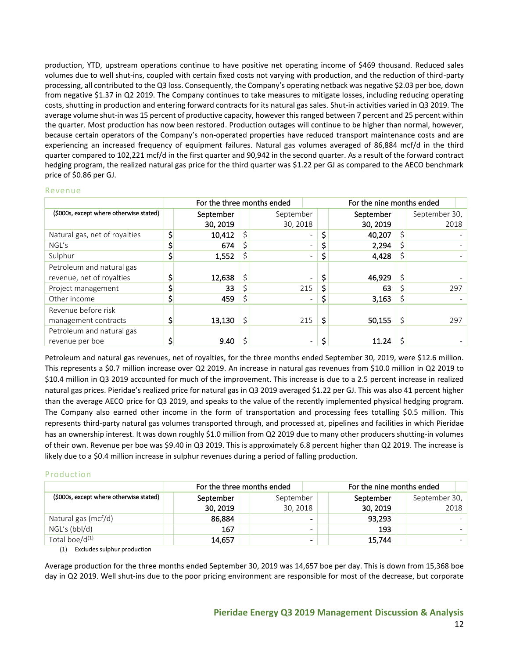production, YTD, upstream operations continue to have positive net operating income of \$469 thousand. Reduced sales volumes due to well shut-ins, coupled with certain fixed costs not varying with production, and the reduction of third-party processing, all contributed to the Q3 loss. Consequently, the Company's operating netback was negative \$2.03 per boe, down from negative \$1.37 in Q2 2019. The Company continues to take measures to mitigate losses, including reducing operating costs, shutting in production and entering forward contracts for its natural gas sales. Shut-in activities varied in Q3 2019. The average volume shut-in was 15 percent of productive capacity, however this ranged between 7 percent and 25 percent within the quarter. Most production has now been restored. Production outages will continue to be higher than normal, however, because certain operators of the Company's non-operated properties have reduced transport maintenance costs and are experiencing an increased frequency of equipment failures. Natural gas volumes averaged of 86,884 mcf/d in the third quarter compared to 102,221 mcf/d in the first quarter and 90,942 in the second quarter. As a result of the forward contract hedging program, the realized natural gas price for the third quarter was \$1.22 per GJ as compared to the AECO benchmark price of \$0.86 per GJ.

#### Revenue

|                                         | For the three months ended |    | For the nine months ended |                          |           |               |
|-----------------------------------------|----------------------------|----|---------------------------|--------------------------|-----------|---------------|
| (\$000s, except where otherwise stated) | September                  |    | September                 |                          | September | September 30, |
|                                         | 30, 2019                   |    | 30, 2018                  |                          | 30, 2019  | 2018          |
| Natural gas, net of royalties           | \$<br>10,412               | \$ |                           |                          | 40,207    | \$            |
| NGL's                                   | 674                        |    |                           |                          | 2,294     |               |
| Sulphur                                 | \$<br>1,552                | \$ |                           | $\overline{\phantom{0}}$ | 4,428     |               |
| Petroleum and natural gas               |                            |    |                           |                          |           |               |
| revenue, net of royalties               | 12,638                     |    |                           |                          | 46,929    |               |
| Project management                      | 33                         |    | 215                       | \$                       | 63        | 297           |
| Other income                            | \$<br>459                  | \$ |                           | \$<br>۰                  | 3,163     | \$            |
| Revenue before risk                     |                            |    |                           |                          |           |               |
| management contracts                    | 13,130                     |    | 215                       | \$                       | 50,155    | 297           |
| Petroleum and natural gas               |                            |    |                           |                          |           |               |
| revenue per boe                         | 9.40                       |    |                           | \$<br>-                  | 11.24     |               |

Petroleum and natural gas revenues, net of royalties, for the three months ended September 30, 2019, were \$12.6 million. This represents a \$0.7 million increase over Q2 2019. An increase in natural gas revenues from \$10.0 million in Q2 2019 to \$10.4 million in Q3 2019 accounted for much of the improvement. This increase is due to a 2.5 percent increase in realized natural gas prices. Pieridae's realized price for natural gas in Q3 2019 averaged \$1.22 per GJ. This was also 41 percent higher than the average AECO price for Q3 2019, and speaks to the value of the recently implemented physical hedging program. The Company also earned other income in the form of transportation and processing fees totalling \$0.5 million. This represents third-party natural gas volumes transported through, and processed at, pipelines and facilities in which Pieridae has an ownership interest. It was down roughly \$1.0 million from Q2 2019 due to many other producers shutting-in volumes of their own. Revenue per boe was \$9.40 in Q3 2019. This is approximately 6.8 percent higher than Q2 2019. The increase is likely due to a \$0.4 million increase in sulphur revenues during a period of falling production.

#### Production

|                                         | For the three months ended |           | For the nine months ended |           |               |      |  |  |
|-----------------------------------------|----------------------------|-----------|---------------------------|-----------|---------------|------|--|--|
| (\$000s, except where otherwise stated) | September                  | September |                           | September | September 30, |      |  |  |
|                                         | 30, 2019                   | 30, 2018  |                           | 30, 2019  |               | 2018 |  |  |
| Natural gas (mcf/d)                     | 86,884                     |           | -                         | 93,293    |               |      |  |  |
| NGL's (bbl/d)                           | 167                        |           | -                         | 193       |               |      |  |  |
| Total boe/ $d^{(1)}$                    | 14,657                     |           | -                         | 15,744    |               |      |  |  |

(1) Excludes sulphur production

Average production for the three months ended September 30, 2019 was 14,657 boe per day. This is down from 15,368 boe day in Q2 2019. Well shut-ins due to the poor pricing environment are responsible for most of the decrease, but corporate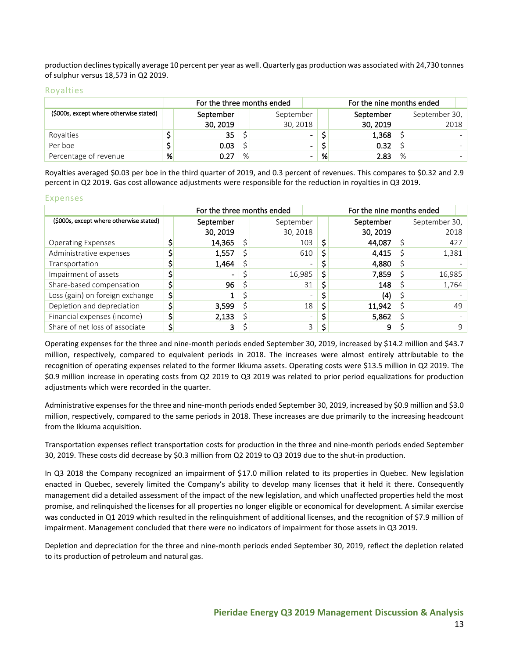production declines typically average 10 percent per year as well. Quarterly gas production was associated with 24,730 tonnes of sulphur versus 18,573 in Q2 2019.

#### Royalties

|                                         |   | For the three months ended |   |                | For the nine months ended |           |   |               |  |  |
|-----------------------------------------|---|----------------------------|---|----------------|---------------------------|-----------|---|---------------|--|--|
| (\$000s, except where otherwise stated) |   | September                  |   | September      |                           | September |   | September 30, |  |  |
|                                         |   | 30, 2019                   |   | 30, 2018       |                           | 30, 2019  |   | 2018          |  |  |
| Rovalties                               |   | 35                         |   | $\blacksquare$ |                           | 1,368     |   |               |  |  |
| Per boe                                 |   | 0.03                       |   | $\blacksquare$ |                           | 0.32      |   |               |  |  |
| Percentage of revenue                   | % | 0.27                       | % | -              | %                         | 2.83      | % |               |  |  |

Royalties averaged \$0.03 per boe in the third quarter of 2019, and 0.3 percent of revenues. This compares to \$0.32 and 2.9 percent in Q2 2019. Gas cost allowance adjustments were responsible for the reduction in royalties in Q3 2019.

#### Expenses

|                                         | For the three months ended |           | For the nine months ended |           |    |               |    |  |  |
|-----------------------------------------|----------------------------|-----------|---------------------------|-----------|----|---------------|----|--|--|
| (\$000s, except where otherwise stated) | September                  | September |                           | September |    | September 30, |    |  |  |
|                                         | 30, 2019                   | 30, 2018  |                           | 30, 2019  |    | 2018          |    |  |  |
| <b>Operating Expenses</b>               | 14,365                     | 103       | \$                        | 44,087    |    | 427           |    |  |  |
| Administrative expenses                 | 1,557                      | 610       | S                         | 4,415     |    | 1,381         |    |  |  |
| Transportation                          | 1,464                      |           | -                         | 4,880     |    |               |    |  |  |
| Impairment of assets                    | -                          | 16,985    | s                         | 7,859     |    | 16,985        |    |  |  |
| Share-based compensation                | 96                         | 31        |                           | 148       |    | 1,764         |    |  |  |
| Loss (gain) on foreign exchange         | \$                         |           | $\equiv$                  | (4)       |    |               |    |  |  |
| Depletion and depreciation              | 3,599                      | 18        |                           | 11,942    | \$ |               | 49 |  |  |
| Financial expenses (income)             | 2,133                      |           | $\overline{\phantom{0}}$  | 5,862     |    |               |    |  |  |
| Share of net loss of associate          | 3                          |           | 3                         | 9         |    |               | 9  |  |  |

Operating expenses for the three and nine-month periods ended September 30, 2019, increased by \$14.2 million and \$43.7 million, respectively, compared to equivalent periods in 2018. The increases were almost entirely attributable to the recognition of operating expenses related to the former Ikkuma assets. Operating costs were \$13.5 million in Q2 2019. The \$0.9 million increase in operating costs from Q2 2019 to Q3 2019 was related to prior period equalizations for production adjustments which were recorded in the quarter.

Administrative expenses for the three and nine-month periods ended September 30, 2019, increased by \$0.9 million and \$3.0 million, respectively, compared to the same periods in 2018. These increases are due primarily to the increasing headcount from the Ikkuma acquisition.

Transportation expenses reflect transportation costs for production in the three and nine-month periods ended September 30, 2019. These costs did decrease by \$0.3 million from Q2 2019 to Q3 2019 due to the shut-in production.

In Q3 2018 the Company recognized an impairment of \$17.0 million related to its properties in Quebec. New legislation enacted in Quebec, severely limited the Company's ability to develop many licenses that it held it there. Consequently management did a detailed assessment of the impact of the new legislation, and which unaffected properties held the most promise, and relinquished the licenses for all properties no longer eligible or economical for development. A similar exercise was conducted in Q1 2019 which resulted in the relinquishment of additional licenses, and the recognition of \$7.9 million of impairment. Management concluded that there were no indicators of impairment for those assets in Q3 2019.

Depletion and depreciation for the three and nine-month periods ended September 30, 2019, reflect the depletion related to its production of petroleum and natural gas.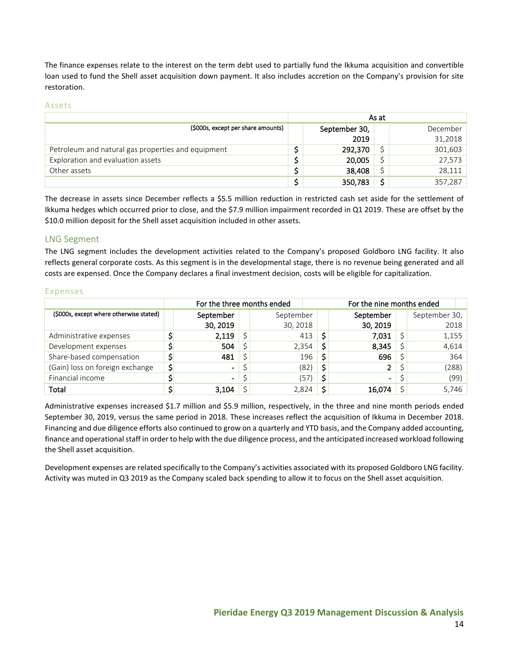The finance expenses relate to the interest on the term debt used to partially fund the Ikkuma acquisition and convertible loan used to fund the Shell asset acquisition down payment. It also includes accretion on the Company's provision for site restoration.

#### Assets

|                                                    |               | As at |          |
|----------------------------------------------------|---------------|-------|----------|
| (\$000s, except per share amounts)                 | September 30, |       | December |
|                                                    | 2019          |       | 31,2018  |
| Petroleum and natural gas properties and equipment | 292,370       |       | 301,603  |
| Exploration and evaluation assets                  | 20,005        |       | 27,573   |
| Other assets                                       | 38,408        |       | 28.111   |
|                                                    | 350,783       |       | 357,287  |

The decrease in assets since December reflects a \$5.5 million reduction in restricted cash set aside for the settlement of Ikkuma hedges which occurred prior to close, and the \$7.9 million impairment recorded in Q1 2019. These are offset by the \$10.0 million deposit for the Shell asset acquisition included in other assets.

## <span id="page-13-0"></span>LNG Segment

The LNG segment includes the development activities related to the Company's proposed Goldboro LNG facility. It also reflects general corporate costs. As this segment is in the developmental stage, there is no revenue being generated and all costs are expensed. Once the Company declares a final investment decision, costs will be eligible for capitalization.

|                                         | For the three months ended |           | For the nine months ended |           |  |               |  |  |
|-----------------------------------------|----------------------------|-----------|---------------------------|-----------|--|---------------|--|--|
| (\$000s, except where otherwise stated) | September                  | September |                           | September |  | September 30, |  |  |
|                                         | 30, 2019                   | 30, 2018  |                           | 30, 2019  |  | 2018          |  |  |
| Administrative expenses                 | 2,119                      | 413       | S                         | 7,031     |  | 1,155         |  |  |
| Development expenses                    | 504                        | 2,354     | Ś                         | 8,345     |  | 4,614         |  |  |
| Share-based compensation                | 481                        | 196       |                           | 696       |  | 364           |  |  |
| (Gain) loss on foreign exchange         | $\blacksquare$             | (82)      | \$                        |           |  | (288)         |  |  |
| Financial income                        | $\blacksquare$             | (57)      | Ś                         | -         |  | (99)          |  |  |
| Total                                   | 3,104                      | 2,824     |                           | 16.074    |  | 5,746         |  |  |

#### Expenses

Administrative expenses increased \$1.7 million and \$5.9 million, respectively, in the three and nine month periods ended September 30, 2019, versus the same period in 2018. These increases reflect the acquisition of Ikkuma in December 2018. Financing and due diligence efforts also continued to grow on a quarterly and YTD basis, and the Company added accounting, finance and operational staff in order to help with the due diligence process, and the anticipated increased workload following the Shell asset acquisition.

Development expenses are related specifically to the Company's activities associated with its proposed Goldboro LNG facility. Activity was muted in Q3 2019 as the Company scaled back spending to allow it to focus on the Shell asset acquisition.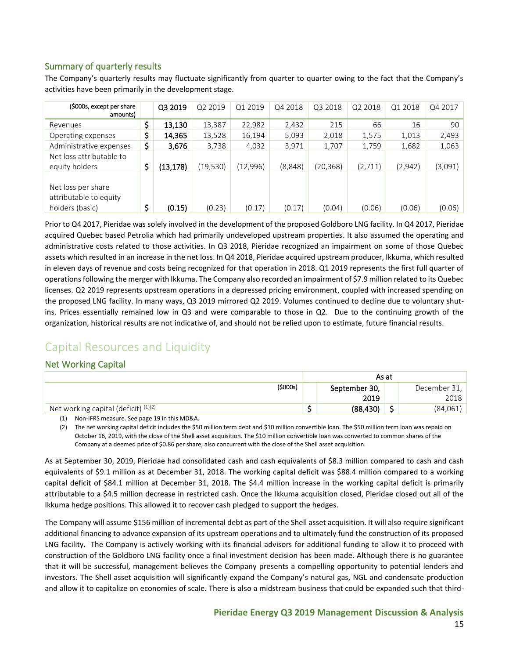## <span id="page-14-0"></span>Summary of quarterly results

The Company's quarterly results may fluctuate significantly from quarter to quarter owing to the fact that the Company's activities have been primarily in the development stage.

| (\$000s, except per share<br>amounts)                           | Q3 2019         | Q2 2019   | Q1 2019  | Q4 2018 | Q3 2018   | Q2 2018 | Q1 2018 | Q4 2017 |
|-----------------------------------------------------------------|-----------------|-----------|----------|---------|-----------|---------|---------|---------|
| Revenues                                                        | \$<br>13,130    | 13,387    | 22,982   | 2,432   | 215       | 66      | 16      | 90      |
| Operating expenses                                              | \$<br>14,365    | 13,528    | 16,194   | 5,093   | 2,018     | 1,575   | 1,013   | 2,493   |
| Administrative expenses                                         | \$<br>3,676     | 3,738     | 4,032    | 3,971   | 1,707     | 1,759   | 1,682   | 1,063   |
| Net loss attributable to                                        |                 |           |          |         |           |         |         |         |
| equity holders                                                  | \$<br>(13, 178) | (19, 530) | (12,996) | (8,848) | (20, 368) | (2,711) | (2,942) | (3,091) |
| Net loss per share<br>attributable to equity<br>holders (basic) | \$<br>(0.15)    | (0.23)    | (0.17)   | (0.17)  | (0.04)    | (0.06)  | (0.06)  | (0.06)  |

Prior to Q4 2017, Pieridae was solely involved in the development of the proposed Goldboro LNG facility. In Q4 2017, Pieridae acquired Quebec based Petrolia which had primarily undeveloped upstream properties. It also assumed the operating and administrative costs related to those activities. In Q3 2018, Pieridae recognized an impairment on some of those Quebec assets which resulted in an increase in the net loss. In Q4 2018, Pieridae acquired upstream producer, Ikkuma, which resulted in eleven days of revenue and costs being recognized for that operation in 2018. Q1 2019 represents the first full quarter of operations following the merger with Ikkuma. The Company also recorded an impairment of \$7.9 million related to its Quebec licenses. Q2 2019 represents upstream operations in a depressed pricing environment, coupled with increased spending on the proposed LNG facility. In many ways, Q3 2019 mirrored Q2 2019. Volumes continued to decline due to voluntary shutins. Prices essentially remained low in Q3 and were comparable to those in Q2. Due to the continuing growth of the organization, historical results are not indicative of, and should not be relied upon to estimate, future financial results.

# <span id="page-14-1"></span>Capital Resources and Liquidity

## <span id="page-14-2"></span>Net Working Capital

|                                                     | As at         |        |              |  |  |  |
|-----------------------------------------------------|---------------|--------|--------------|--|--|--|
| (\$000s)                                            | September 30, |        | December 31, |  |  |  |
|                                                     | 2019          |        | 2018         |  |  |  |
| $\dot{ }$ Net working capital (deficit) $^{(1)(2)}$ | (88, 430)     | -<br>ر | (84,061)     |  |  |  |

(1) Non-IFRS measure. See page 19 in this MD&A.

(2) The net working capital deficit includes the \$50 million term debt and \$10 million convertible loan. The \$50 million term loan was repaid on October 16, 2019, with the close of the Shell asset acquisition. The \$10 million convertible loan was converted to common shares of the Company at a deemed price of \$0.86 per share, also concurrent with the close of the Shell asset acquisition.

As at September 30, 2019, Pieridae had consolidated cash and cash equivalents of \$8.3 million compared to cash and cash equivalents of \$9.1 million as at December 31, 2018. The working capital deficit was \$88.4 million compared to a working capital deficit of \$84.1 million at December 31, 2018. The \$4.4 million increase in the working capital deficit is primarily attributable to a \$4.5 million decrease in restricted cash. Once the Ikkuma acquisition closed, Pieridae closed out all of the Ikkuma hedge positions. This allowed it to recover cash pledged to support the hedges.

The Company will assume \$156 million of incremental debt as part of the Shell asset acquisition. It will also require significant additional financing to advance expansion of its upstream operations and to ultimately fund the construction of its proposed LNG facility. The Company is actively working with its financial advisors for additional funding to allow it to proceed with construction of the Goldboro LNG facility once a final investment decision has been made. Although there is no guarantee that it will be successful, management believes the Company presents a compelling opportunity to potential lenders and investors. The Shell asset acquisition will significantly expand the Company's natural gas, NGL and condensate production and allow it to capitalize on economies of scale. There is also a midstream business that could be expanded such that third-

## **Pieridae Energy Q3 2019 Management Discussion & Analysis**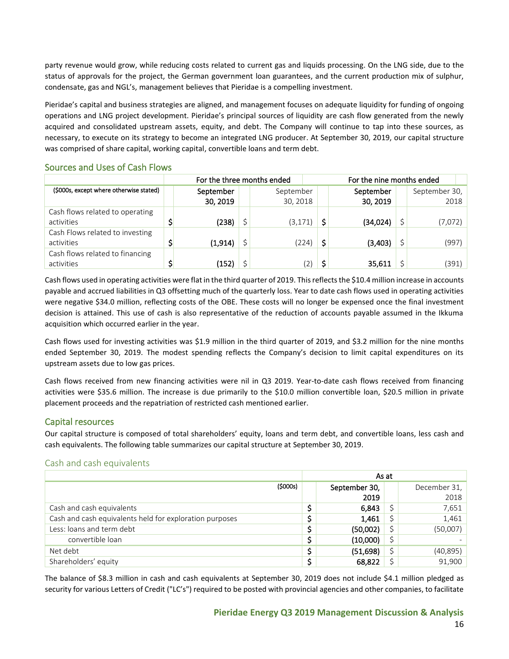party revenue would grow, while reducing costs related to current gas and liquids processing. On the LNG side, due to the status of approvals for the project, the German government loan guarantees, and the current production mix of sulphur, condensate, gas and NGL's, management believes that Pieridae is a compelling investment.

Pieridae's capital and business strategies are aligned, and management focuses on adequate liquidity for funding of ongoing operations and LNG project development. Pieridae's principal sources of liquidity are cash flow generated from the newly acquired and consolidated upstream assets, equity, and debt. The Company will continue to tap into these sources, as necessary, to execute on its strategy to become an integrated LNG producer. At September 30, 2019, our capital structure was comprised of share capital, working capital, convertible loans and term debt.

#### <span id="page-15-0"></span>Sources and Uses of Cash Flows

|                                         | For the three months ended |           |  |                   | For the nine months ended |           |  |               |  |  |
|-----------------------------------------|----------------------------|-----------|--|-------------------|---------------------------|-----------|--|---------------|--|--|
| (\$000s, except where otherwise stated) |                            | September |  | September         |                           | September |  | September 30, |  |  |
|                                         |                            | 30, 2019  |  | 30, 2018          |                           | 30, 2019  |  | 2018          |  |  |
| Cash flows related to operating         |                            |           |  |                   |                           |           |  |               |  |  |
| activities                              |                            | (238)     |  | (3, 171)          |                           | (34,024)  |  | (7,072)       |  |  |
| Cash Flows related to investing         |                            |           |  |                   |                           |           |  |               |  |  |
| activities                              |                            | (1, 914)  |  | (224)             | Ś                         | (3,403)   |  | (997)         |  |  |
| Cash flows related to financing         |                            |           |  |                   |                           |           |  |               |  |  |
| activities                              |                            | (152)     |  | $\left( 2\right)$ | ς                         | 35,611    |  | (391)         |  |  |

Cash flows used in operating activities were flat in the third quarter of 2019. This reflects the \$10.4 million increase in accounts payable and accrued liabilities in Q3 offsetting much of the quarterly loss. Year to date cash flows used in operating activities were negative \$34.0 million, reflecting costs of the OBE. These costs will no longer be expensed once the final investment decision is attained. This use of cash is also representative of the reduction of accounts payable assumed in the Ikkuma acquisition which occurred earlier in the year.

Cash flows used for investing activities was \$1.9 million in the third quarter of 2019, and \$3.2 million for the nine months ended September 30, 2019. The modest spending reflects the Company's decision to limit capital expenditures on its upstream assets due to low gas prices.

Cash flows received from new financing activities were nil in Q3 2019. Year-to-date cash flows received from financing activities were \$35.6 million. The increase is due primarily to the \$10.0 million convertible loan, \$20.5 million in private placement proceeds and the repatriation of restricted cash mentioned earlier.

## <span id="page-15-1"></span>Capital resources

Our capital structure is composed of total shareholders' equity, loans and term debt, and convertible loans, less cash and cash equivalents. The following table summarizes our capital structure at September 30, 2019.

#### <span id="page-15-2"></span>Cash and cash equivalents

|                                                         |         | As at |               |   |              |  |  |  |
|---------------------------------------------------------|---------|-------|---------------|---|--------------|--|--|--|
|                                                         | (5000s) |       | September 30, |   | December 31, |  |  |  |
|                                                         |         |       | 2019          |   | 2018         |  |  |  |
| Cash and cash equivalents                               |         |       | 6,843         |   | 7,651        |  |  |  |
| Cash and cash equivalents held for exploration purposes |         |       | 1,461         |   | 1,461        |  |  |  |
| Less: loans and term debt                               |         |       | (50,002)      |   | (50,007)     |  |  |  |
| convertible loan                                        |         |       | (10,000)      |   |              |  |  |  |
| Net debt                                                |         |       | (51,698)      | Ś | (40, 895)    |  |  |  |
| Shareholders' equity                                    |         |       | 68,822        |   | 91,900       |  |  |  |

The balance of \$8.3 million in cash and cash equivalents at September 30, 2019 does not include \$4.1 million pledged as security for various Letters of Credit ("LC's") required to be posted with provincial agencies and other companies, to facilitate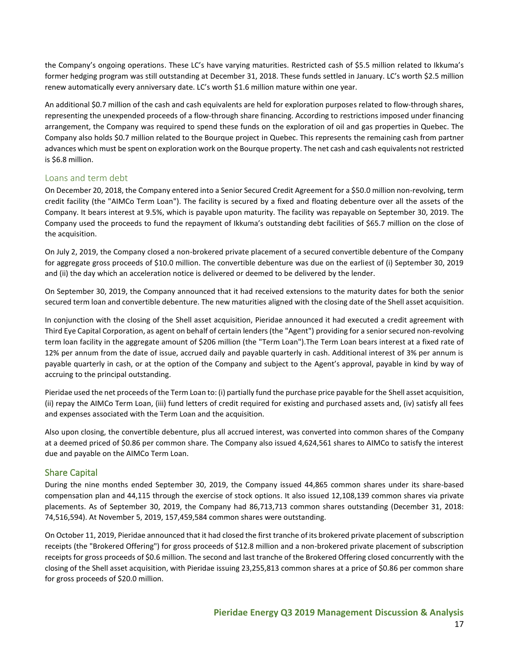the Company's ongoing operations. These LC's have varying maturities. Restricted cash of \$5.5 million related to Ikkuma's former hedging program was still outstanding at December 31, 2018. These funds settled in January. LC's worth \$2.5 million renew automatically every anniversary date. LC's worth \$1.6 million mature within one year.

An additional \$0.7 million of the cash and cash equivalents are held for exploration purposes related to flow-through shares, representing the unexpended proceeds of a flow‐through share financing. According to restrictions imposed under financing arrangement, the Company was required to spend these funds on the exploration of oil and gas properties in Quebec. The Company also holds \$0.7 million related to the Bourque project in Quebec. This represents the remaining cash from partner advances which must be spent on exploration work on the Bourque property. The net cash and cash equivalents not restricted is \$6.8 million.

#### <span id="page-16-0"></span>Loans and term debt

On December 20, 2018, the Company entered into a Senior Secured Credit Agreement for a \$50.0 million non-revolving, term credit facility (the "AIMCo Term Loan"). The facility is secured by a fixed and floating debenture over all the assets of the Company. It bears interest at 9.5%, which is payable upon maturity. The facility was repayable on September 30, 2019. The Company used the proceeds to fund the repayment of Ikkuma's outstanding debt facilities of \$65.7 million on the close of the acquisition.

On July 2, 2019, the Company closed a non-brokered private placement of a secured convertible debenture of the Company for aggregate gross proceeds of \$10.0 million. The convertible debenture was due on the earliest of (i) September 30, 2019 and (ii) the day which an acceleration notice is delivered or deemed to be delivered by the lender.

On September 30, 2019, the Company announced that it had received extensions to the maturity dates for both the senior secured term loan and convertible debenture. The new maturities aligned with the closing date of the Shell asset acquisition.

In conjunction with the closing of the Shell asset acquisition, Pieridae announced it had executed a credit agreement with Third Eye Capital Corporation, as agent on behalf of certain lenders (the "Agent") providing for a senior secured non-revolving term loan facility in the aggregate amount of \$206 million (the "Term Loan").The Term Loan bears interest at a fixed rate of 12% per annum from the date of issue, accrued daily and payable quarterly in cash. Additional interest of 3% per annum is payable quarterly in cash, or at the option of the Company and subject to the Agent's approval, payable in kind by way of accruing to the principal outstanding.

Pieridae used the net proceeds of the Term Loan to: (i) partially fund the purchase price payable for the Shell asset acquisition, (ii) repay the AIMCo Term Loan, (iii) fund letters of credit required for existing and purchased assets and, (iv) satisfy all fees and expenses associated with the Term Loan and the acquisition.

Also upon closing, the convertible debenture, plus all accrued interest, was converted into common shares of the Company at a deemed priced of \$0.86 per common share. The Company also issued 4,624,561 shares to AIMCo to satisfy the interest due and payable on the AIMCo Term Loan.

## <span id="page-16-1"></span>Share Capital

During the nine months ended September 30, 2019, the Company issued 44,865 common shares under its share-based compensation plan and 44,115 through the exercise of stock options. It also issued 12,108,139 common shares via private placements. As of September 30, 2019, the Company had 86,713,713 common shares outstanding (December 31, 2018: 74,516,594). At November 5, 2019, 157,459,584 common shares were outstanding.

On October 11, 2019, Pieridae announced that it had closed the first tranche of its brokered private placement of subscription receipts (the "Brokered Offering") for gross proceeds of \$12.8 million and a non-brokered private placement of subscription receipts for gross proceeds of \$0.6 million. The second and last tranche of the Brokered Offering closed concurrently with the closing of the Shell asset acquisition, with Pieridae issuing 23,255,813 common shares at a price of \$0.86 per common share for gross proceeds of \$20.0 million.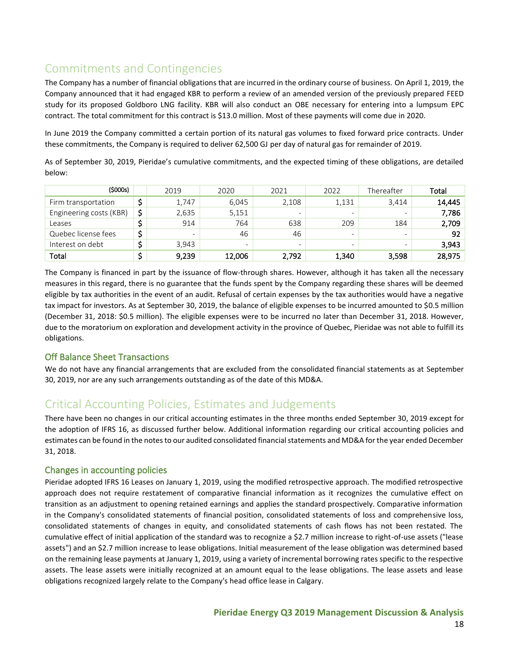# <span id="page-17-0"></span>Commitments and Contingencies

The Company has a number of financial obligations that are incurred in the ordinary course of business. On April 1, 2019, the Company announced that it had engaged KBR to perform a review of an amended version of the previously prepared FEED study for its proposed Goldboro LNG facility. KBR will also conduct an OBE necessary for entering into a lumpsum EPC contract. The total commitment for this contract is \$13.0 million. Most of these payments will come due in 2020.

In June 2019 the Company committed a certain portion of its natural gas volumes to fixed forward price contracts. Under these commitments, the Company is required to deliver 62,500 GJ per day of natural gas for remainder of 2019.

As of September 30, 2019, Pieridae's cumulative commitments, and the expected timing of these obligations, are detailed below:

| (\$000s)                |   | 2019                     | 2020   | 2021  | 2022  | Thereafter               | Total  |
|-------------------------|---|--------------------------|--------|-------|-------|--------------------------|--------|
| Firm transportation     |   | 1,747                    | 6,045  | 2,108 | 1,131 | 3,414                    | 14,445 |
| Engineering costs (KBR) | ċ | 2,635                    | 5,151  | -     | -     | $\overline{\phantom{0}}$ | 7,786  |
| Leases                  |   | 914                      | 764    | 638   | 209   | 184                      | 2,709  |
| Quebec license fees     |   | $\overline{\phantom{m}}$ | 46     | 46    | -     | $\overline{\phantom{0}}$ | 92     |
| Interest on debt        |   | 3,943                    | -      | -     | -     | $\overline{\phantom{0}}$ | 3,943  |
| Total                   |   | 9,239                    | 12,006 | 2,792 | 1,340 | 3,598                    | 28,975 |

The Company is financed in part by the issuance of flow-through shares. However, although it has taken all the necessary measures in this regard, there is no guarantee that the funds spent by the Company regarding these shares will be deemed eligible by tax authorities in the event of an audit. Refusal of certain expenses by the tax authorities would have a negative tax impact for investors. As at September 30, 2019, the balance of eligible expenses to be incurred amounted to \$0.5 million (December 31, 2018: \$0.5 million). The eligible expenses were to be incurred no later than December 31, 2018. However, due to the moratorium on exploration and development activity in the province of Quebec, Pieridae was not able to fulfill its obligations.

## <span id="page-17-1"></span>Off Balance Sheet Transactions

We do not have any financial arrangements that are excluded from the consolidated financial statements as at September 30, 2019, nor are any such arrangements outstanding as of the date of this MD&A.

## <span id="page-17-2"></span>Critical Accounting Policies, Estimates and Judgements

There have been no changes in our critical accounting estimates in the three months ended September 30, 2019 except for the adoption of IFRS 16, as discussed further below. Additional information regarding our critical accounting policies and estimates can be found in the notes to our audited consolidated financial statements and MD&A for the year ended December 31, 2018.

## <span id="page-17-3"></span>Changes in accounting policies

Pieridae adopted IFRS 16 Leases on January 1, 2019, using the modified retrospective approach. The modified retrospective approach does not require restatement of comparative financial information as it recognizes the cumulative effect on transition as an adjustment to opening retained earnings and applies the standard prospectively. Comparative information in the Company's consolidated statements of financial position, consolidated statements of loss and comprehensive loss, consolidated statements of changes in equity, and consolidated statements of cash flows has not been restated. The cumulative effect of initial application of the standard was to recognize a \$2.7 million increase to right-of-use assets ("lease assets") and an \$2.7 million increase to lease obligations. Initial measurement of the lease obligation was determined based on the remaining lease payments at January 1, 2019, using a variety of incremental borrowing rates specific to the respective assets. The lease assets were initially recognized at an amount equal to the lease obligations. The lease assets and lease obligations recognized largely relate to the Company's head office lease in Calgary.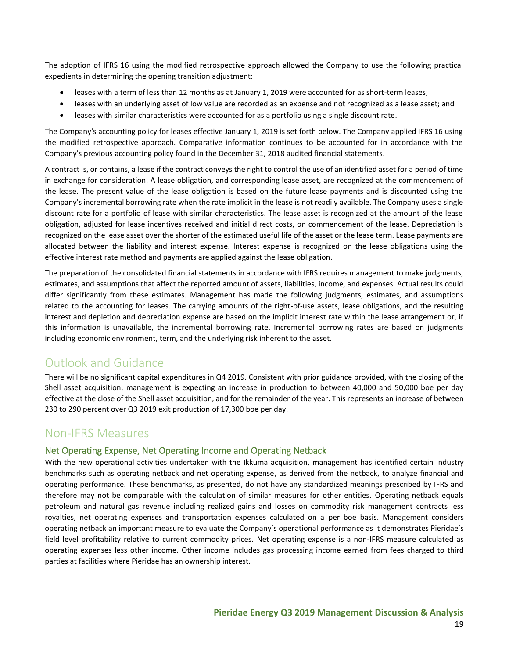The adoption of IFRS 16 using the modified retrospective approach allowed the Company to use the following practical expedients in determining the opening transition adjustment:

- leases with a term of less than 12 months as at January 1, 2019 were accounted for as short-term leases;
- leases with an underlying asset of low value are recorded as an expense and not recognized as a lease asset; and
- leases with similar characteristics were accounted for as a portfolio using a single discount rate.

The Company's accounting policy for leases effective January 1, 2019 is set forth below. The Company applied IFRS 16 using the modified retrospective approach. Comparative information continues to be accounted for in accordance with the Company's previous accounting policy found in the December 31, 2018 audited financial statements.

A contract is, or contains, a lease if the contract conveys the right to control the use of an identified asset for a period of time in exchange for consideration. A lease obligation, and corresponding lease asset, are recognized at the commencement of the lease. The present value of the lease obligation is based on the future lease payments and is discounted using the Company's incremental borrowing rate when the rate implicit in the lease is not readily available. The Company uses a single discount rate for a portfolio of lease with similar characteristics. The lease asset is recognized at the amount of the lease obligation, adjusted for lease incentives received and initial direct costs, on commencement of the lease. Depreciation is recognized on the lease asset over the shorter of the estimated useful life of the asset or the lease term. Lease payments are allocated between the liability and interest expense. Interest expense is recognized on the lease obligations using the effective interest rate method and payments are applied against the lease obligation.

The preparation of the consolidated financial statements in accordance with IFRS requires management to make judgments, estimates, and assumptions that affect the reported amount of assets, liabilities, income, and expenses. Actual results could differ significantly from these estimates. Management has made the following judgments, estimates, and assumptions related to the accounting for leases. The carrying amounts of the right-of-use assets, lease obligations, and the resulting interest and depletion and depreciation expense are based on the implicit interest rate within the lease arrangement or, if this information is unavailable, the incremental borrowing rate. Incremental borrowing rates are based on judgments including economic environment, term, and the underlying risk inherent to the asset.

## <span id="page-18-0"></span>Outlook and Guidance

There will be no significant capital expenditures in Q4 2019. Consistent with prior guidance provided, with the closing of the Shell asset acquisition, management is expecting an increase in production to between 40,000 and 50,000 boe per day effective at the close of the Shell asset acquisition, and for the remainder of the year. This represents an increase of between 230 to 290 percent over Q3 2019 exit production of 17,300 boe per day.

## <span id="page-18-1"></span>Non-IFRS Measures

## <span id="page-18-2"></span>Net Operating Expense, Net Operating Income and Operating Netback

With the new operational activities undertaken with the Ikkuma acquisition, management has identified certain industry benchmarks such as operating netback and net operating expense, as derived from the netback, to analyze financial and operating performance. These benchmarks, as presented, do not have any standardized meanings prescribed by IFRS and therefore may not be comparable with the calculation of similar measures for other entities. Operating netback equals petroleum and natural gas revenue including realized gains and losses on commodity risk management contracts less royalties, net operating expenses and transportation expenses calculated on a per boe basis. Management considers operating netback an important measure to evaluate the Company's operational performance as it demonstrates Pieridae's field level profitability relative to current commodity prices. Net operating expense is a non-IFRS measure calculated as operating expenses less other income. Other income includes gas processing income earned from fees charged to third parties at facilities where Pieridae has an ownership interest.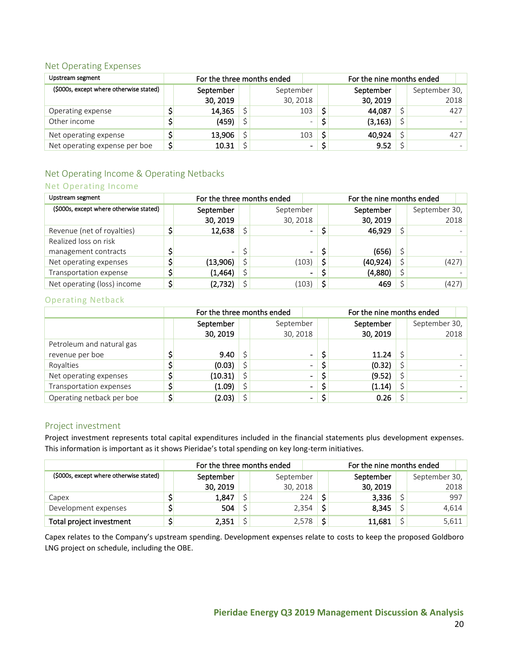#### <span id="page-19-0"></span>Net Operating Expenses

| Upstream segment                        | For the nine months ended<br>For the three months ended |  |                          |    |           |  |               |
|-----------------------------------------|---------------------------------------------------------|--|--------------------------|----|-----------|--|---------------|
| (\$000s, except where otherwise stated) | September                                               |  | September                |    | September |  | September 30, |
|                                         | 30, 2019                                                |  | 30, 2018                 |    | 30, 2019  |  | 2018          |
| Operating expense                       | 14,365                                                  |  | 103                      |    | 44,087    |  | 427           |
| Other income                            | (459)                                                   |  | $\overline{\phantom{0}}$ |    | (3, 163)  |  |               |
| Net operating expense                   | 13,906                                                  |  | 103                      | \$ | 40,924    |  | 427           |
| Net operating expense per boe           | \$<br>10.31                                             |  | $\overline{\phantom{a}}$ |    | 9.52      |  |               |

## <span id="page-19-1"></span>Net Operating Income & Operating Netbacks

### Net Operating Income

| Upstream segment                        | For the three months ended |                |  |           |                | For the nine months ended |           |    |               |
|-----------------------------------------|----------------------------|----------------|--|-----------|----------------|---------------------------|-----------|----|---------------|
| (\$000s, except where otherwise stated) |                            | September      |  | September |                |                           | September |    | September 30, |
|                                         |                            | 30, 2019       |  | 30, 2018  |                |                           | 30, 2019  |    | 2018          |
| Revenue (net of royalties)              |                            | 12,638         |  |           | $\blacksquare$ |                           | 46,929    |    |               |
| Realized loss on risk                   |                            |                |  |           |                |                           |           |    |               |
| management contracts                    |                            | $\blacksquare$ |  |           | ۰.             |                           | (656)     |    |               |
| Net operating expenses                  |                            | (13,906)       |  | (103)     | \$             |                           | (40, 924) |    | (427)         |
| Transportation expense                  |                            | (1,464)        |  |           | ٠              |                           | (4,880)   | \$ |               |
| Net operating (loss) income             |                            | (2,732)        |  | (103)     | Ś              |                           | 469       |    | (427)         |

#### Operating Netback

|                           | For the three months ended |           |  |                | For the nine months ended |  |               |  |  |
|---------------------------|----------------------------|-----------|--|----------------|---------------------------|--|---------------|--|--|
|                           |                            | September |  | September      | September                 |  | September 30, |  |  |
|                           |                            | 30, 2019  |  | 30, 2018       | 30, 2019                  |  | 2018          |  |  |
| Petroleum and natural gas |                            |           |  |                |                           |  |               |  |  |
| revenue per boe           |                            | 9.40      |  | $\blacksquare$ | 11.24                     |  |               |  |  |
| Royalties                 |                            | (0.03)    |  | $\blacksquare$ | (0.32)                    |  |               |  |  |
| Net operating expenses    |                            | (10.31)   |  | $\blacksquare$ | (9.52)                    |  |               |  |  |
| Transportation expenses   |                            | (1.09)    |  | $\blacksquare$ | \$<br>(1.14)              |  |               |  |  |
| Operating netback per boe |                            | (2.03)    |  | ۰              | 0.26                      |  |               |  |  |

#### <span id="page-19-2"></span>Project investment

Project investment represents total capital expenditures included in the financial statements plus development expenses. This information is important as it shows Pieridae's total spending on key long-term initiatives.

|                                         | For the three months ended |           |  |           | For the nine months ended |           |   |               |  |  |
|-----------------------------------------|----------------------------|-----------|--|-----------|---------------------------|-----------|---|---------------|--|--|
| (\$000s, except where otherwise stated) |                            | September |  | September |                           | September |   | September 30, |  |  |
|                                         |                            | 30, 2019  |  | 30, 2018  |                           | 30, 2019  |   | 2018          |  |  |
| Capex                                   |                            | 1,847     |  | 224       |                           | 3,336     |   | 997           |  |  |
| Development expenses                    |                            | 504       |  | 2,354     | Ś                         | 8,345     |   | 4,614         |  |  |
| Total project investment                |                            | 2,351     |  | 2,578     | Ć                         | 11,681    | ć | 5,611         |  |  |

Capex relates to the Company's upstream spending. Development expenses relate to costs to keep the proposed Goldboro LNG project on schedule, including the OBE.